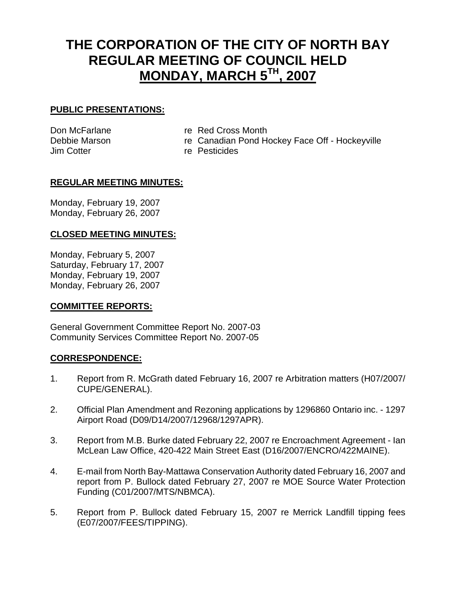# **THE CORPORATION OF THE CITY OF NORTH BAY REGULAR MEETING OF COUNCIL HELD MONDAY, MARCH 5TH, 2007**

### **PUBLIC PRESENTATIONS:**

Jim Cotter re Pesticides

- Don McFarlane re Red Cross Month
- Debbie Marson The Canadian Pond Hockey Face Off Hockeyville
	-

#### **REGULAR MEETING MINUTES:**

Monday, February 19, 2007 Monday, February 26, 2007

#### **CLOSED MEETING MINUTES:**

Monday, February 5, 2007 Saturday, February 17, 2007 Monday, February 19, 2007 Monday, February 26, 2007

#### **COMMITTEE REPORTS:**

General Government Committee Report No. 2007-03 Community Services Committee Report No. 2007-05

#### **CORRESPONDENCE:**

- 1. Report from R. McGrath dated February 16, 2007 re Arbitration matters (H07/2007/ CUPE/GENERAL).
- 2. Official Plan Amendment and Rezoning applications by 1296860 Ontario inc. 1297 Airport Road (D09/D14/2007/12968/1297APR).
- 3. Report from M.B. Burke dated February 22, 2007 re Encroachment Agreement Ian McLean Law Office, 420-422 Main Street East (D16/2007/ENCRO/422MAINE).
- 4. E-mail from North Bay-Mattawa Conservation Authority dated February 16, 2007 and report from P. Bullock dated February 27, 2007 re MOE Source Water Protection Funding (C01/2007/MTS/NBMCA).
- 5. Report from P. Bullock dated February 15, 2007 re Merrick Landfill tipping fees (E07/2007/FEES/TIPPING).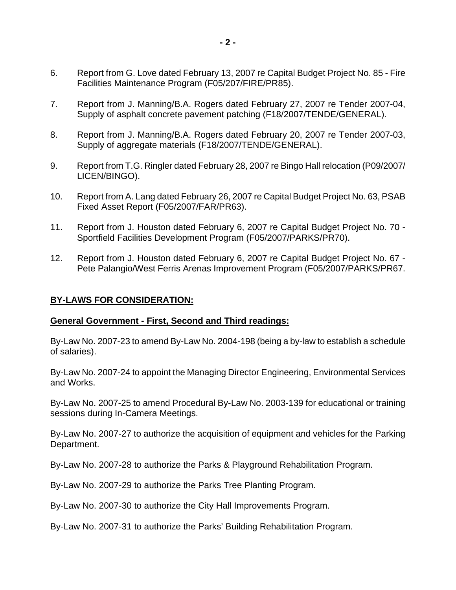- 6. Report from G. Love dated February 13, 2007 re Capital Budget Project No. 85 Fire Facilities Maintenance Program (F05/207/FIRE/PR85).
- 7. Report from J. Manning/B.A. Rogers dated February 27, 2007 re Tender 2007-04, Supply of asphalt concrete pavement patching (F18/2007/TENDE/GENERAL).
- 8. Report from J. Manning/B.A. Rogers dated February 20, 2007 re Tender 2007-03, Supply of aggregate materials (F18/2007/TENDE/GENERAL).
- 9. Report from T.G. Ringler dated February 28, 2007 re Bingo Hall relocation (P09/2007/ LICEN/BINGO).
- 10. Report from A. Lang dated February 26, 2007 re Capital Budget Project No. 63, PSAB Fixed Asset Report (F05/2007/FAR/PR63).
- 11. Report from J. Houston dated February 6, 2007 re Capital Budget Project No. 70 Sportfield Facilities Development Program (F05/2007/PARKS/PR70).
- 12. Report from J. Houston dated February 6, 2007 re Capital Budget Project No. 67 Pete Palangio/West Ferris Arenas Improvement Program (F05/2007/PARKS/PR67.

#### **BY-LAWS FOR CONSIDERATION:**

#### **General Government - First, Second and Third readings:**

By-Law No. 2007-23 to amend By-Law No. 2004-198 (being a by-law to establish a schedule of salaries).

By-Law No. 2007-24 to appoint the Managing Director Engineering, Environmental Services and Works.

By-Law No. 2007-25 to amend Procedural By-Law No. 2003-139 for educational or training sessions during In-Camera Meetings.

By-Law No. 2007-27 to authorize the acquisition of equipment and vehicles for the Parking Department.

By-Law No. 2007-28 to authorize the Parks & Playground Rehabilitation Program.

By-Law No. 2007-29 to authorize the Parks Tree Planting Program.

By-Law No. 2007-30 to authorize the City Hall Improvements Program.

By-Law No. 2007-31 to authorize the Parks' Building Rehabilitation Program.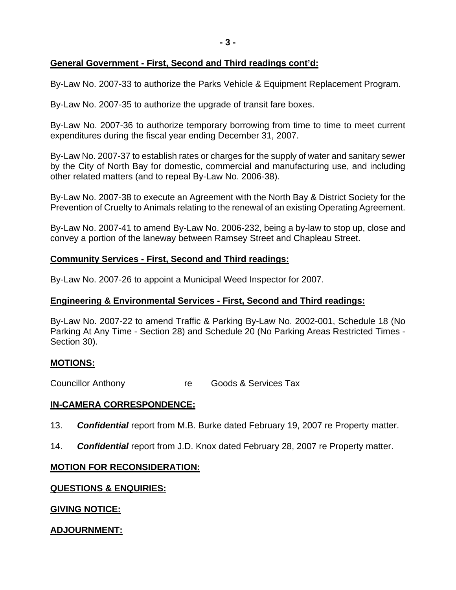#### **General Government - First, Second and Third readings cont'd:**

By-Law No. 2007-33 to authorize the Parks Vehicle & Equipment Replacement Program.

By-Law No. 2007-35 to authorize the upgrade of transit fare boxes.

By-Law No. 2007-36 to authorize temporary borrowing from time to time to meet current expenditures during the fiscal year ending December 31, 2007.

By-Law No. 2007-37 to establish rates or charges for the supply of water and sanitary sewer by the City of North Bay for domestic, commercial and manufacturing use, and including other related matters (and to repeal By-Law No. 2006-38).

By-Law No. 2007-38 to execute an Agreement with the North Bay & District Society for the Prevention of Cruelty to Animals relating to the renewal of an existing Operating Agreement.

By-Law No. 2007-41 to amend By-Law No. 2006-232, being a by-law to stop up, close and convey a portion of the laneway between Ramsey Street and Chapleau Street.

### **Community Services - First, Second and Third readings:**

By-Law No. 2007-26 to appoint a Municipal Weed Inspector for 2007.

#### **Engineering & Environmental Services - First, Second and Third readings:**

By-Law No. 2007-22 to amend Traffic & Parking By-Law No. 2002-001, Schedule 18 (No Parking At Any Time - Section 28) and Schedule 20 (No Parking Areas Restricted Times - Section 30).

#### **MOTIONS:**

Councillor Anthony re Goods & Services Tax

# **IN-CAMERA CORRESPONDENCE:**

- 13. *Confidential* report from M.B. Burke dated February 19, 2007 re Property matter.
- 14. *Confidential* report from J.D. Knox dated February 28, 2007 re Property matter.

# **MOTION FOR RECONSIDERATION:**

#### **QUESTIONS & ENQUIRIES:**

**GIVING NOTICE:**

# **ADJOURNMENT:**